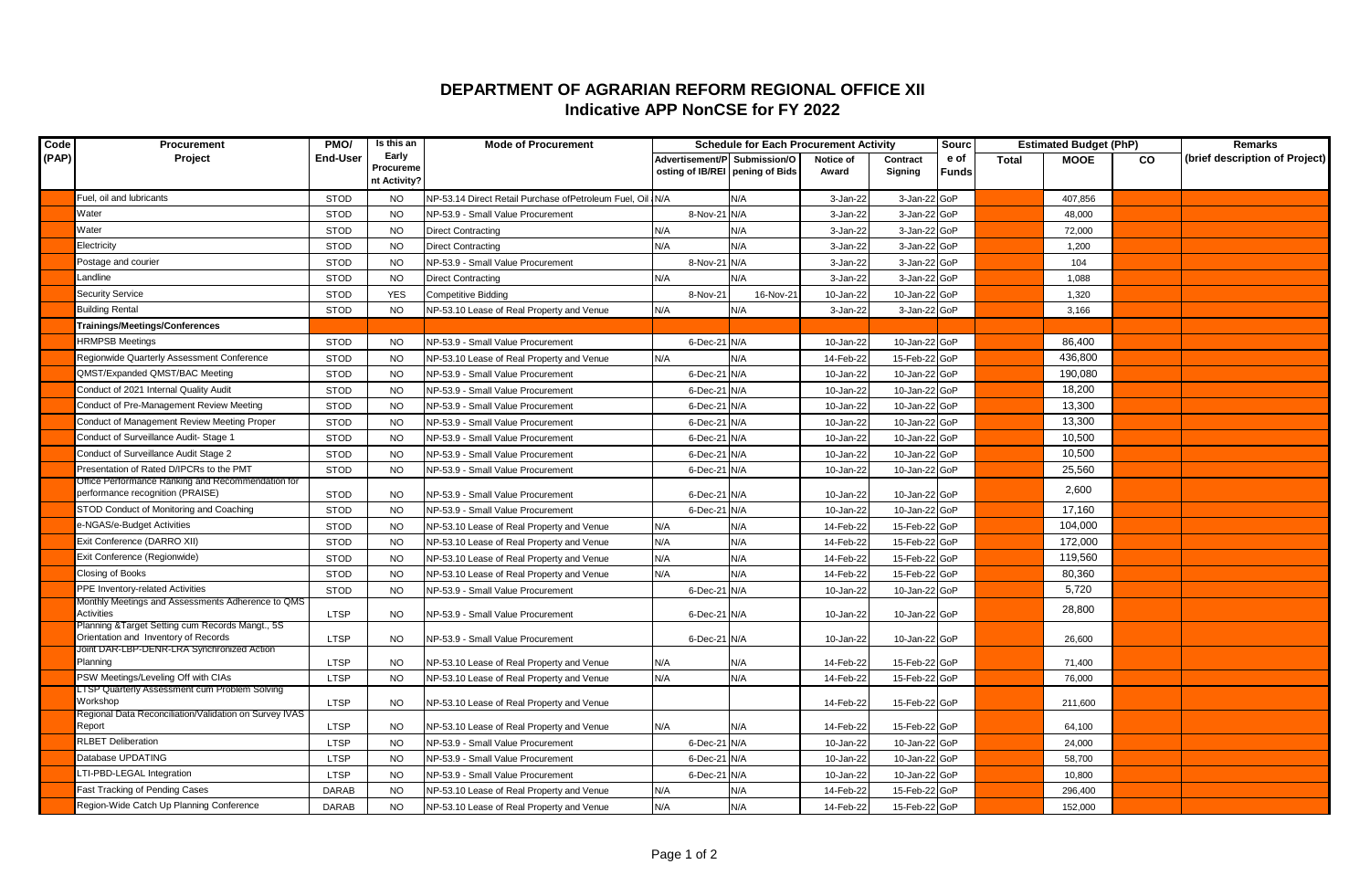## **DEPARTMENT OF AGRARIAN REFORM REGIONAL OFFICE XII Indicative APP NonCSE for FY 2022**

| Code  | Procurement                                                                             | PMO/            | Is this an         | <b>Mode of Procurement</b>                                | <b>Schedule for Each Procurement Activity</b> |           |           |               |       | <b>Estimated Budget (PhP)</b> |             |           | <b>Remarks</b>                 |
|-------|-----------------------------------------------------------------------------------------|-----------------|--------------------|-----------------------------------------------------------|-----------------------------------------------|-----------|-----------|---------------|-------|-------------------------------|-------------|-----------|--------------------------------|
| (PAP) | Project                                                                                 | <b>End-User</b> | Early<br>Procureme |                                                           | Advertisement/P Submission/O                  |           | Notice of | Contract      | e of  | <b>Total</b>                  | <b>MOOE</b> | <b>CO</b> | (brief description of Project) |
|       |                                                                                         |                 | nt Activity?       |                                                           | osting of IB/REI pening of Bids               |           | Award     | Signing       | Funds |                               |             |           |                                |
|       | Fuel, oil and lubricants                                                                | <b>STOD</b>     | <b>NO</b>          | NP-53.14 Direct Retail Purchase ofPetroleum Fuel, Oil N/A |                                               | N/A       | 3-Jan-22  | 3-Jan-22 GoP  |       |                               | 407,856     |           |                                |
|       | Water                                                                                   | <b>STOD</b>     | <b>NO</b>          | NP-53.9 - Small Value Procurement                         | 8-Nov-21 N/A                                  |           | 3-Jan-22  | 3-Jan-22 GoP  |       |                               | 48,000      |           |                                |
|       | Water                                                                                   | <b>STOD</b>     | <b>NO</b>          | <b>Direct Contracting</b>                                 | N/A                                           | N/A       | 3-Jan-22  | 3-Jan-22      | GoP   |                               | 72,000      |           |                                |
|       | Electricity                                                                             | <b>STOD</b>     | <b>NO</b>          | <b>Direct Contracting</b>                                 | N/A                                           | N/A       | 3-Jan-22  | 3-Jan-22 GoP  |       |                               | 1,200       |           |                                |
|       | Postage and courier                                                                     | <b>STOD</b>     | <b>NO</b>          | <b>NP-53.9 - Small Value Procurement</b>                  | 8-Nov-21 N/A                                  |           | 3-Jan-22  | 3-Jan-22 GoP  |       |                               | 104         |           |                                |
|       | Landline                                                                                | <b>STOD</b>     | <b>NO</b>          | <b>Direct Contracting</b>                                 | N/A                                           | N/A       | 3-Jan-22  | 3-Jan-22 GoP  |       |                               | 1,088       |           |                                |
|       | <b>Security Service</b>                                                                 | <b>STOD</b>     | <b>YES</b>         | <b>Competitive Bidding</b>                                | 8-Nov-21                                      | 16-Nov-21 | 10-Jan-22 | 10-Jan-22 GoP |       |                               | 1,320       |           |                                |
|       | <b>Building Rental</b>                                                                  | <b>STOD</b>     | <b>NO</b>          | NP-53.10 Lease of Real Property and Venue                 | N/A                                           | N/A       | 3-Jan-22  | 3-Jan-22 GoP  |       |                               | 3,166       |           |                                |
|       | Trainings/Meetings/Conferences                                                          |                 |                    |                                                           |                                               |           |           |               |       |                               |             |           |                                |
|       | <b>HRMPSB Meetings</b>                                                                  | <b>STOD</b>     | <b>NO</b>          | NP-53.9 - Small Value Procurement                         | 6-Dec-21 N/A                                  |           | 10-Jan-22 | 10-Jan-22 GoP |       |                               | 86,400      |           |                                |
|       | Regionwide Quarterly Assessment Conference                                              | <b>STOD</b>     | <b>NO</b>          | NP-53.10 Lease of Real Property and Venue                 | N/A                                           | N/A       | 14-Feb-22 | 15-Feb-22 GoP |       |                               | 436,800     |           |                                |
|       | QMST/Expanded QMST/BAC Meeting                                                          | <b>STOD</b>     | <b>NO</b>          | NP-53.9 - Small Value Procurement                         | 6-Dec-21 N/A                                  |           | 10-Jan-22 | 10-Jan-22 GoP |       |                               | 190,080     |           |                                |
|       | Conduct of 2021 Internal Quality Audit                                                  | <b>STOD</b>     | <b>NO</b>          | NP-53.9 - Small Value Procurement                         | 6-Dec-21 N/A                                  |           | 10-Jan-22 | 10-Jan-22 GoP |       |                               | 18,200      |           |                                |
|       | Conduct of Pre-Management Review Meeting                                                | <b>STOD</b>     | <b>NO</b>          | NP-53.9 - Small Value Procurement                         | 6-Dec-21 N/A                                  |           | 10-Jan-22 | 10-Jan-22 GoP |       |                               | 13,300      |           |                                |
|       | Conduct of Management Review Meeting Proper                                             | <b>STOD</b>     | <b>NO</b>          | NP-53.9 - Small Value Procurement                         | 6-Dec-21 N/A                                  |           | 10-Jan-22 | 10-Jan-22 GoP |       |                               | 13,300      |           |                                |
|       | Conduct of Surveillance Audit- Stage 1                                                  | <b>STOD</b>     | <b>NO</b>          | NP-53.9 - Small Value Procurement                         | 6-Dec-21 N/A                                  |           | 10-Jan-22 | 10-Jan-22 GoP |       |                               | 10,500      |           |                                |
|       | Conduct of Surveillance Audit Stage 2                                                   | <b>STOD</b>     | <b>NO</b>          | NP-53.9 - Small Value Procurement                         | 6-Dec-21 N/A                                  |           | 10-Jan-22 | 10-Jan-22 GoP |       |                               | 10,500      |           |                                |
|       | Presentation of Rated D/IPCRs to the PMT                                                | <b>STOD</b>     | <b>NO</b>          | NP-53.9 - Small Value Procurement                         | 6-Dec-21 N/A                                  |           | 10-Jan-22 | 10-Jan-22 GoP |       |                               | 25,560      |           |                                |
|       | Office Performance Ranking and Recommendation for<br>performance recognition (PRAISE)   | <b>STOD</b>     | <b>NO</b>          | NP-53.9 - Small Value Procurement                         | 6-Dec-21 N/A                                  |           | 10-Jan-22 | 10-Jan-22 GoP |       |                               | 2,600       |           |                                |
|       | STOD Conduct of Monitoring and Coaching                                                 | <b>STOD</b>     | <b>NO</b>          | NP-53.9 - Small Value Procurement                         | 6-Dec-21 N/A                                  |           | 10-Jan-22 | 10-Jan-22 GoP |       |                               | 17,160      |           |                                |
|       | e-NGAS/e-Budget Activities                                                              | <b>STOD</b>     | <b>NO</b>          | NP-53.10 Lease of Real Property and Venue                 | N/A                                           | N/A       | 14-Feb-22 | 15-Feb-22 GoP |       |                               | 104,000     |           |                                |
|       | Exit Conference (DARRO XII)                                                             | <b>STOD</b>     | <b>NO</b>          | NP-53.10 Lease of Real Property and Venue                 | N/A                                           | N/A       | 14-Feb-22 | 15-Feb-22 GoP |       |                               | 172,000     |           |                                |
|       | Exit Conference (Regionwide)                                                            | <b>STOD</b>     | <b>NO</b>          | NP-53.10 Lease of Real Property and Venue                 | N/A                                           | N/A       | 14-Feb-22 | 15-Feb-22 GoP |       |                               | 119,560     |           |                                |
|       | Closing of Books                                                                        | <b>STOD</b>     | <b>NO</b>          | NP-53.10 Lease of Real Property and Venue                 | N/A                                           | N/A       | 14-Feb-22 | 15-Feb-22 GoP |       |                               | 80,360      |           |                                |
|       | PPE Inventory-related Activities                                                        | <b>STOD</b>     | <b>NO</b>          | NP-53.9 - Small Value Procurement                         | 6-Dec-21 N/A                                  |           | 10-Jan-22 | 10-Jan-22 GoP |       |                               | 5,720       |           |                                |
|       | Monthly Meetings and Assessments Adherence to QMS<br>Activities                         | <b>LTSP</b>     | <b>NO</b>          | NP-53.9 - Small Value Procurement                         | 6-Dec-21 N/A                                  |           | 10-Jan-22 | 10-Jan-22 GoP |       |                               | 28,800      |           |                                |
|       | Planning &Target Setting cum Records Mangt., 5S<br>Orientation and Inventory of Records | <b>LTSP</b>     | <b>NO</b>          | NP-53.9 - Small Value Procurement                         | 6-Dec-21 N/A                                  |           | 10-Jan-22 | 10-Jan-22 GoP |       |                               | 26,600      |           |                                |
|       | Joint DAR-LBP-DENR-LRA Synchronized Action<br>Planning                                  | <b>LTSP</b>     | <b>NO</b>          | VP-53.10 Lease of Real Property and Venue                 | N/A                                           | N/A       | 14-Feb-22 | 15-Feb-22 GoP |       |                               | 71,400      |           |                                |
|       | PSW Meetings/Leveling Off with CIAs                                                     | <b>LTSP</b>     | <b>NO</b>          | NP-53.10 Lease of Real Property and Venue                 | N/A                                           | N/A       | 14-Feb-22 | 15-Feb-22 GoP |       |                               | 76,000      |           |                                |
|       | LTSP Quarterly Assessment cum Problem Solving<br>Workshop                               | <b>LTSP</b>     | <b>NO</b>          | NP-53.10 Lease of Real Property and Venue                 |                                               |           | 14-Feb-22 | 15-Feb-22 GoP |       |                               | 211,600     |           |                                |
|       | Regional Data Reconciliation/Validation on Survey IVAS<br>Report                        | <b>LTSP</b>     | <b>NO</b>          | NP-53.10 Lease of Real Property and Venue                 | N/A                                           | N/A       | 14-Feb-22 | 15-Feb-22 GoP |       |                               | 64,100      |           |                                |
|       | <b>RLBET Deliberation</b>                                                               | <b>LTSP</b>     | <b>NO</b>          | NP-53.9 - Small Value Procurement                         | 6-Dec-21 N/A                                  |           | 10-Jan-22 | 10-Jan-22 GoP |       |                               | 24,000      |           |                                |
|       | Database UPDATING                                                                       | <b>LTSP</b>     | <b>NO</b>          | NP-53.9 - Small Value Procurement                         | 6-Dec-21 N/A                                  |           | 10-Jan-22 | 10-Jan-22 GoP |       |                               | 58,700      |           |                                |
|       | LTI-PBD-LEGAL Integration                                                               | <b>LTSP</b>     | <b>NO</b>          | NP-53.9 - Small Value Procurement                         | 6-Dec-21 N/A                                  |           | 10-Jan-22 | 10-Jan-22 GoP |       |                               | 10,800      |           |                                |
|       | Fast Tracking of Pending Cases                                                          | <b>DARAB</b>    | <b>NO</b>          | NP-53.10 Lease of Real Property and Venue                 | N/A                                           | N/A       | 14-Feb-22 | 15-Feb-22 GoP |       |                               | 296,400     |           |                                |
|       | Region-Wide Catch Up Planning Conference                                                | <b>DARAB</b>    | <b>NO</b>          | NP-53.10 Lease of Real Property and Venue                 | N/A                                           | N/A       | 14-Feb-22 | 15-Feb-22 GoP |       |                               | 152,000     |           |                                |